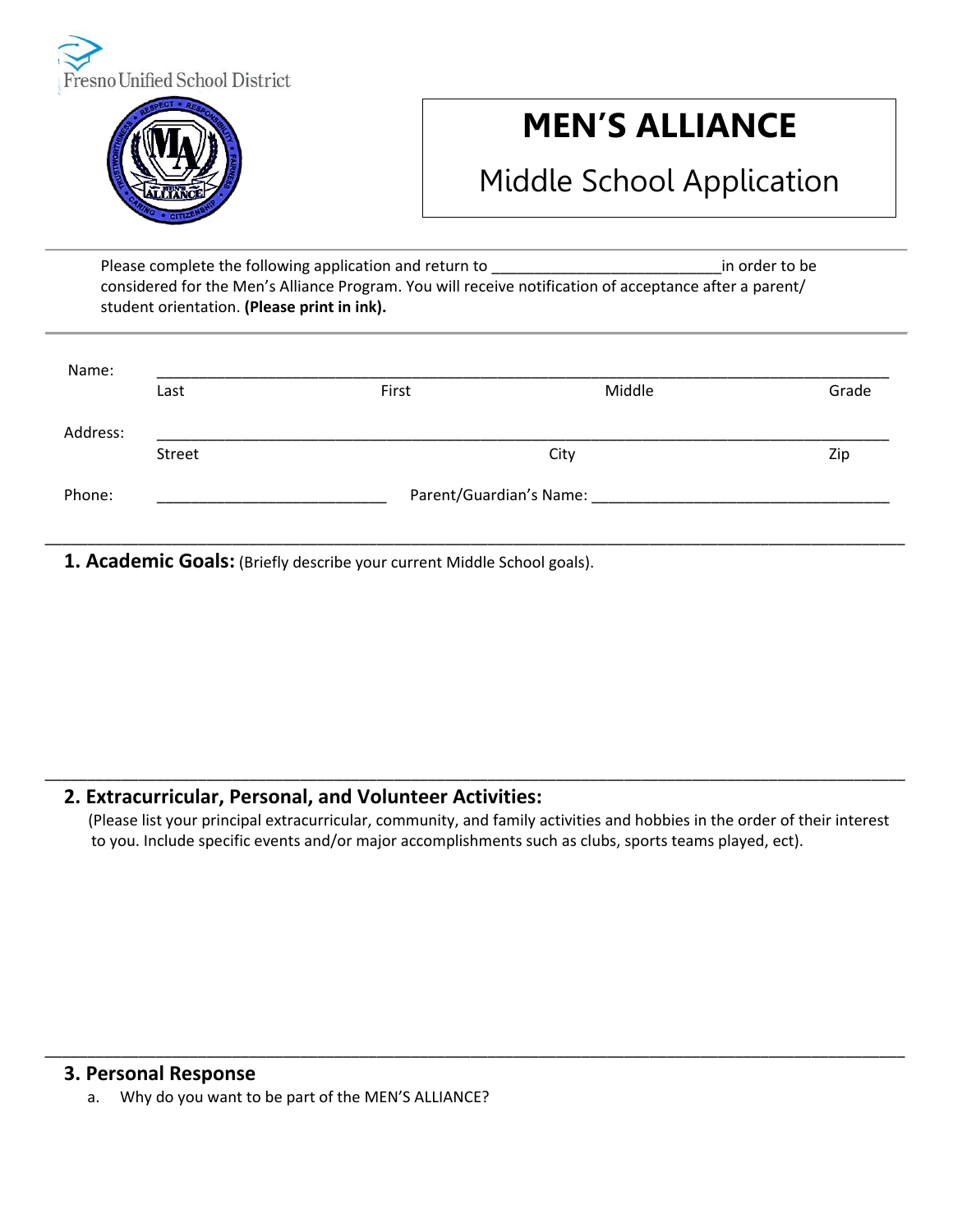



# **MEN'S ALLIANCE**

## Middle School Application

Please complete the following application and return to **Exercise 20** and return to be a product of the state of the state of the state of the state of the state of the state of the state of the state of the state of the s considered for the Men's Alliance Program. You will receive notification of acceptance after a parent/ student orientation. **(Please print in ink).**

| Name:    |      |                         |        |       |  |
|----------|------|-------------------------|--------|-------|--|
|          | Last | First                   | Middle | Grade |  |
| Address: |      |                         |        |       |  |
| Street   |      | City                    |        | Zip   |  |
| Phone:   |      | Parent/Guardian's Name: |        |       |  |

\_\_\_\_\_\_\_\_\_\_\_\_\_\_\_\_\_\_\_\_\_\_\_\_\_\_\_\_\_\_\_\_\_\_\_\_\_\_\_\_\_\_\_\_\_\_\_\_\_\_\_\_\_\_\_\_\_\_\_\_\_\_\_\_\_\_\_\_\_\_\_\_\_\_\_\_\_\_\_\_\_\_\_\_\_\_\_\_\_\_\_\_\_\_\_\_\_\_\_\_\_

**1. Academic Goals:** (Briefly describe your current Middle School goals).

### **2. Extracurricular, Personal, and Volunteer Activities:**

(Please list your principal extracurricular, community, and family activities and hobbies in the order of their interest to you. Include specific events and/or major accomplishments such as clubs, sports teams played, ect).

\_\_\_\_\_\_\_\_\_\_\_\_\_\_\_\_\_\_\_\_\_\_\_\_\_\_\_\_\_\_\_\_\_\_\_\_\_\_\_\_\_\_\_\_\_\_\_\_\_\_\_\_\_\_\_\_\_\_\_\_\_\_\_\_\_\_\_\_\_\_\_\_\_\_\_\_\_\_\_\_\_\_\_\_\_\_\_\_\_\_\_\_\_\_\_\_\_\_\_\_\_

\_\_\_\_\_\_\_\_\_\_\_\_\_\_\_\_\_\_\_\_\_\_\_\_\_\_\_\_\_\_\_\_\_\_\_\_\_\_\_\_\_\_\_\_\_\_\_\_\_\_\_\_\_\_\_\_\_\_\_\_\_\_\_\_\_\_\_\_\_\_\_\_\_\_\_\_\_\_\_\_\_\_\_\_\_\_\_\_\_\_\_\_\_\_\_\_\_\_\_\_\_

#### **3. Personal Response**

a. Why do you want to be part of the MEN'S ALLIANCE?